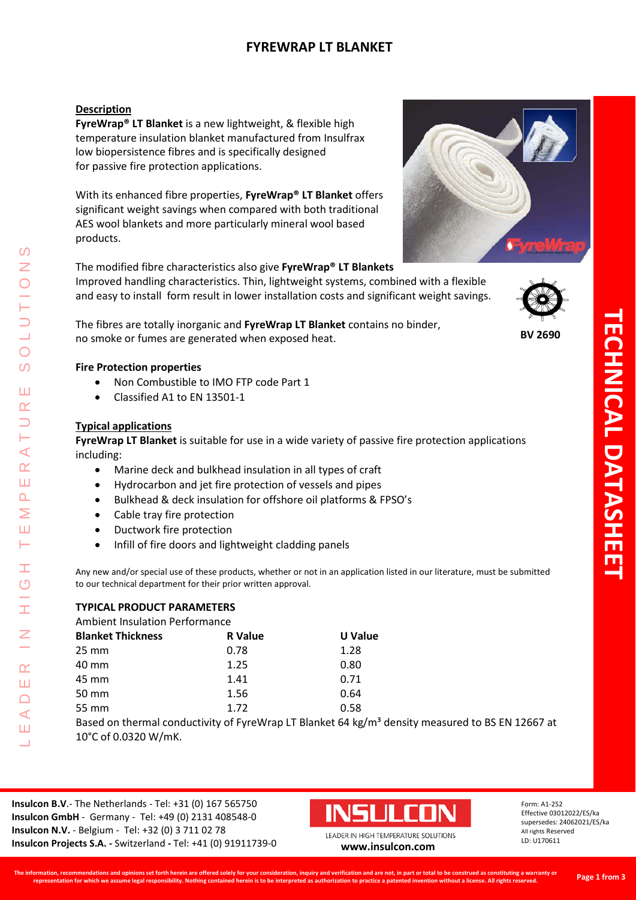# **FYREWRAP LT BLANKET**

### **Description**

**FyreWrap® LT Blanket** is a new lightweight, & flexible high temperature insulation blanket manufactured from Insulfrax low biopersistence fibres and is specifically designed for passive fire protection applications.

With its enhanced fibre properties, **FyreWrap® LT Blanket** offers significant weight savings when compared with both traditional AES wool blankets and more particularly mineral wool based products.

The modified fibre characteristics also give **FyreWrap® LT Blankets** Improved handling characteristics. Thin, lightweight systems, combined with a flexible and easy to install form result in lower installation costs and significant weight savings.

The fibres are totally inorganic and **FyreWrap LT Blanket** contains no binder, no smoke or fumes are generated when exposed heat.

### **Fire Protection properties**

- Non Combustible to IMO FTP code Part 1
- Classified A1 to EN 13501-1

#### **Typical applications**

LEADER IN HIGH TEMPERATURE SOLUTIONS

Ŧ  $\circ$ 

 $\alpha$ Ш  $\bigcap$  $\blacktriangleleft$ Ш 二

⋖  $\alpha$ Ш  $\overline{\mathbf{r}}$ ⋝ Ш 一

 $\Omega$ Z

 $\overline{O}$  $\Omega$ 

Ш  $\alpha$ 

> **FyreWrap LT Blanket** is suitable for use in a wide variety of passive fire protection applications including:

- Marine deck and bulkhead insulation in all types of craft
- Hydrocarbon and jet fire protection of vessels and pipes
- Bulkhead & deck insulation for offshore oil platforms & FPSO's
- Cable tray fire protection
- Ductwork fire protection
- Infill of fire doors and lightweight cladding panels

Any new and/or special use of these products, whether or not in an application listed in our literature, must be submitted to our technical department for their prior written approval.

#### **TYPICAL PRODUCT PARAMETERS**

Ambient Insulation Performance

| <b>Blanket Thickness</b> | <b>R</b> Value | U Value |
|--------------------------|----------------|---------|
| $25 \text{ mm}$          | 0.78           | 1.28    |
| 40 mm                    | 1.25           | 0.80    |
| 45 mm                    | 1.41           | 0.71    |
| 50 mm                    | 1.56           | 0.64    |
| 55 mm                    | 1.72           | 0.58    |

Based on thermal conductivity of FyreWrap LT Blanket 64 kg/m<sup>3</sup> density measured to BS EN 12667 at 10°C of 0.0320 W/mK.

**Insulcon B.V**.- The Netherlands - Tel: +31 (0) 167 565750 **Insulcon GmbH** - Germany - Tel: +49 (0) 2131 408548-0 **Insulcon N.V.** - Belgium - Tel: +32 (0) 3 711 02 78 **Insulcon Projects S.A. -** Switzerland **-** Tel: +41 (0) 91911739-0 **[www.insulcon.com](http://www.insulcon.com/)**



Form: A1-252 Effective 03012022/ES/ka supersedes: 24062021/ES/ka All rights Reserved LD: U170611







**BV 2690**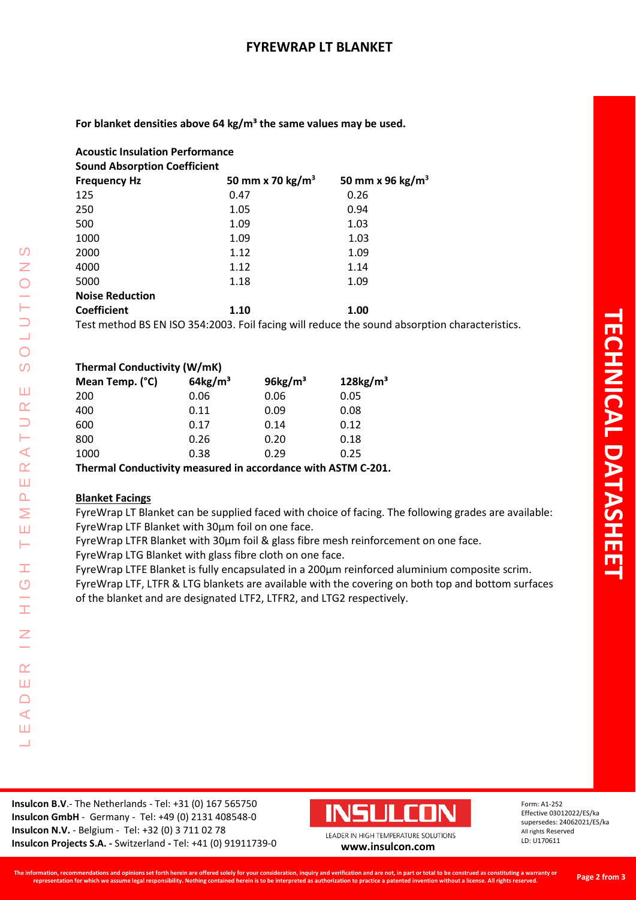For blanket densities above 64 kg/m<sup>3</sup> the same values may be used.

| <b>Acoustic Insulation Performance</b> |                              |                                                                                               |  |  |
|----------------------------------------|------------------------------|-----------------------------------------------------------------------------------------------|--|--|
| <b>Sound Absorption Coefficient</b>    |                              |                                                                                               |  |  |
| <b>Frequency Hz</b>                    | 50 mm x 70 kg/m <sup>3</sup> | 50 mm x 96 kg/m <sup>3</sup>                                                                  |  |  |
| 125                                    | 0.47                         | 0.26                                                                                          |  |  |
| 250                                    | 1.05                         | 0.94                                                                                          |  |  |
| 500                                    | 1.09                         | 1.03                                                                                          |  |  |
| 1000                                   | 1.09                         | 1.03                                                                                          |  |  |
| 2000                                   | 1.12                         | 1.09                                                                                          |  |  |
| 4000                                   | 1.12                         | 1.14                                                                                          |  |  |
| 5000                                   | 1.18                         | 1.09                                                                                          |  |  |
| <b>Noise Reduction</b>                 |                              |                                                                                               |  |  |
| <b>Coefficient</b>                     | 1.10                         | 1.00                                                                                          |  |  |
|                                        |                              | Test method BS EN ISO 354:2003. Foil facing will reduce the sound absorption characteristics. |  |  |

| <b>Thermal Conductivity (W/mK)</b> |                        |                     |                         |  |  |
|------------------------------------|------------------------|---------------------|-------------------------|--|--|
| Mean Temp. (°C)                    | $64$ kg/m <sup>3</sup> | $96\mathrm{kg/m}^3$ | $128$ kg/m <sup>3</sup> |  |  |
| 200                                | 0.06                   | 0.06                | 0.05                    |  |  |
| 400                                | 0.11                   | 0.09                | 0.08                    |  |  |
| 600                                | 0.17                   | 0.14                | 0.12                    |  |  |
| 800                                | 0.26                   | 0.20                | 0.18                    |  |  |
| 1000                               | 0.38                   | 0.29                | 0.25                    |  |  |
|                                    |                        |                     |                         |  |  |

**Thermal Conductivity measured in accordance with ASTM C-201.**

## **Blanket Facings**

LEADER IN HIGH TEMPERATURE SOLUTIONS

Ŧ  $\overline{O}$ 

Ŧ

 $\overline{z}$ 

 $\alpha$ Ш  $\Box$  $\prec$ Ш Ц

 $\Omega$  $\bar{z}$ 

 $\overline{O}$  $\overline{O}$ 

Ш  $\alpha$  $\Box$ Н  $\blacktriangleleft$  $\alpha$ Ш  $\Delta$ Σ Ш Н

FyreWrap LT Blanket can be supplied faced with choice of facing. The following grades are available: FyreWrap LTF Blanket with 30µm foil on one face.

FyreWrap LTFR Blanket with 30µm foil & glass fibre mesh reinforcement on one face.

FyreWrap LTG Blanket with glass fibre cloth on one face.

FyreWrap LTFE Blanket is fully encapsulated in a 200µm reinforced aluminium composite scrim.

FyreWrap LTF, LTFR & LTG blankets are available with the covering on both top and bottom surfaces of the blanket and are designated LTF2, LTFR2, and LTG2 respectively.



Form: A1-252 Effective 03012022/ES/ka supersedes: 24062021/ES/ka All rights Reserved LD: U170611